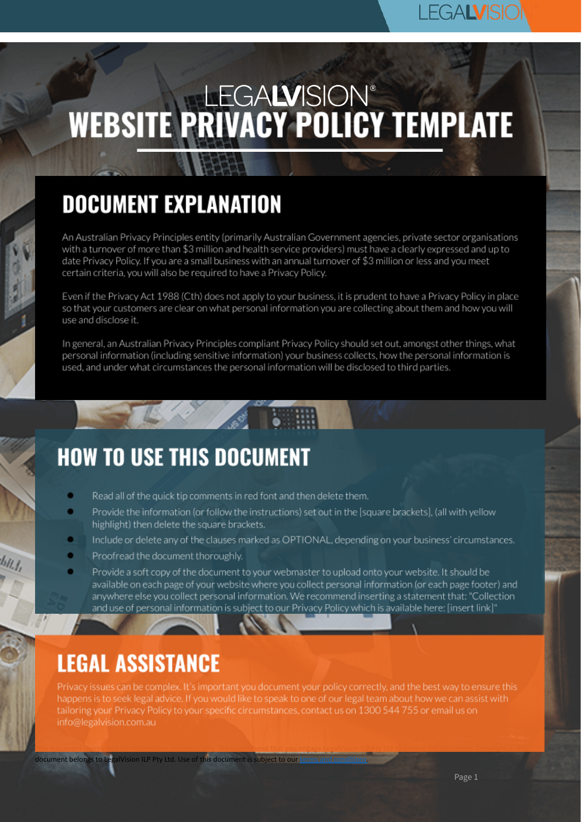## **LEGALVISK**

# WEBSITE PRIVACY POLICY TEMPLATE

# **DOCUMENT EXPLANATION**

An Australian Privacy Principles entity (primarily Australian Government agencies, private sector organisations with a turnover of more than \$3 million and health service providers) must have a clearly expressed and up to date Privacy Policy. If you are a small business with an annual turnover of \$3 million or less and you meet certain criteria, you will also be required to have a Privacy Policy.

Even if the Privacy Act 1988 (Cth) does not apply to your business, it is prudent to have a Privacy Policy in place so that your customers are clear on what personal information you are collecting about them and how you will use and disclose it.

In general, an Australian Privacy Principles compliant Privacy Policy should set out, amongst other things, what personal information (including sensitive information) your business collects, how the personal information is used, and under what circumstances the personal information will be disclosed to third parties.

## **HOW TO USE THIS DOCUMENT**

- Read all of the quick tip comments in red font and then delete them.
- Provide the information (or follow the instructions) set out in the [square brackets], (all with yellow highlight) then delete the square brackets.
- Include or delete any of the clauses marked as OPTIONAL, depending on your business' circumstances.
- Proofread the document thoroughly.
- Provide a soft copy of the document to your webmaster to upload onto your website. It should be available on each page of your website where you collect personal information (or each page footer) and anywhere else you collect personal information. We recommend inserting a statement that: "Collection and use of personal information is subject to our Privacy Policy which is available here: [insert link]"

## **LEGAL ASSISTANCE**

Privacy issues can be complex. It's important you document your policy correctly, and the best way to ensure this happens is to seek legal advice. If you would like to speak to one of our legal team about how we can assist with tailoring your Privacy Policy to your specific circumstances, contact us on 1300 544 755 or email us on info@legalvision.com.au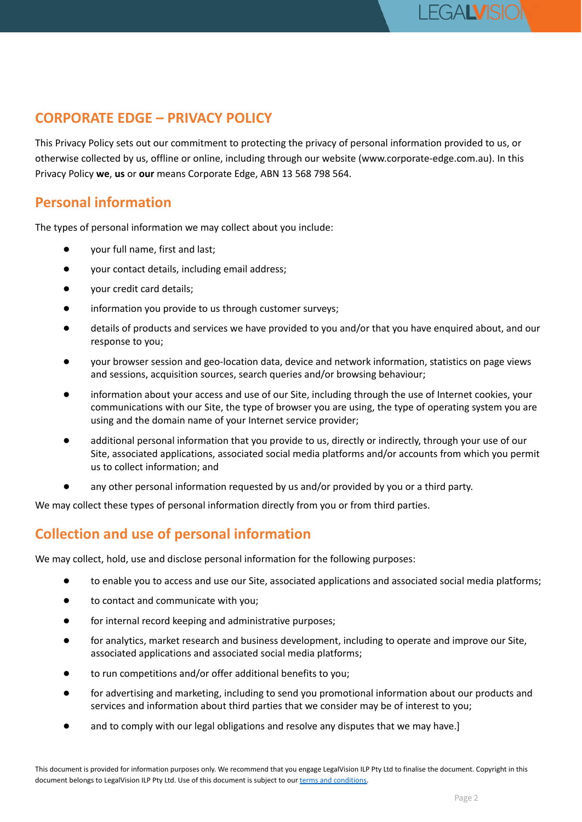This Privacy Policy sets out our commitment to protecting the privacy of personal information provided to us, or otherwise collected by us, offline or online, including through our website (www.corporate-edge.com.au). In this Privacy Policy **we**, **us** or **our** means Corporate Edge, ABN 13 568 798 564.

#### **Personal information**

The types of personal information we may collect about you include:

- your full name, first and last;
- your contact details, including email address;
- your credit card details;
- information you provide to us through customer surveys;
- details of products and services we have provided to you and/or that you have enquired about, and our response to you;
- your browser session and geo-location data, device and network information, statistics on page views and sessions, acquisition sources, search queries and/or browsing behaviour;
- information about your access and use of our Site, including through the use of Internet cookies, your communications with our Site, the type of browser you are using, the type of operating system you are using and the domain name of your Internet service provider;
- additional personal information that you provide to us, directly or indirectly, through your use of our Site, associated applications, associated social media platforms and/or accounts from which you permit us to collect information; and
- any other personal information requested by us and/or provided by you or a third party.

We may collect these types of personal information directly from you or from third parties.

#### **Collection and use of personal information**

We may collect, hold, use and disclose personal information for the following purposes:

- to enable you to access and use our Site, associated applications and associated social media platforms;
- to contact and communicate with you;
- for internal record keeping and administrative purposes;
- for analytics, market research and business development, including to operate and improve our Site, associated applications and associated social media platforms;
- to run competitions and/or offer additional benefits to you;
- for advertising and marketing, including to send you promotional information about our products and services and information about third parties that we consider may be of interest to you;
- and to comply with our legal obligations and resolve any disputes that we may have.]

**LEGALVISK**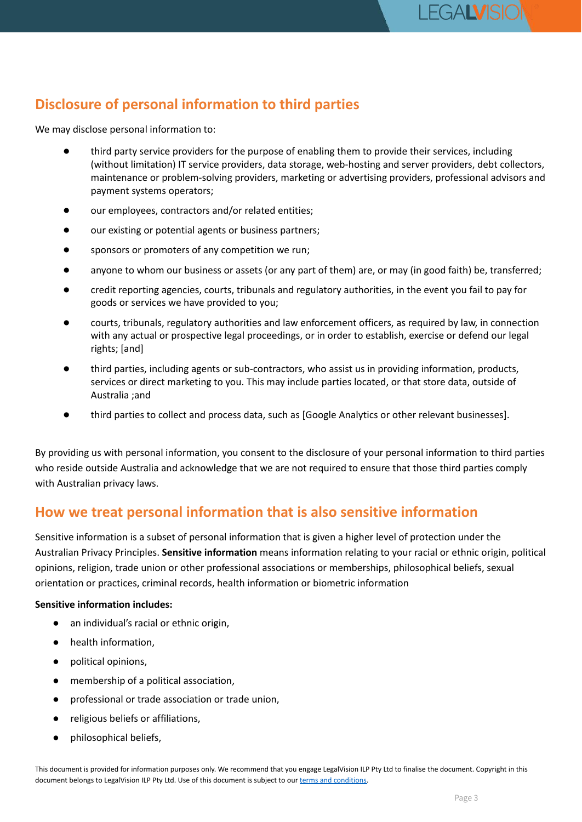## **Disclosure of personal information to third parties**

We may disclose personal information to:

- third party service providers for the purpose of enabling them to provide their services, including (without limitation) IT service providers, data storage, web-hosting and server providers, debt collectors, maintenance or problem-solving providers, marketing or advertising providers, professional advisors and payment systems operators;
- our employees, contractors and/or related entities;
- our existing or potential agents or business partners;
- sponsors or promoters of any competition we run;
- anyone to whom our business or assets (or any part of them) are, or may (in good faith) be, transferred;
- credit reporting agencies, courts, tribunals and regulatory authorities, in the event you fail to pay for goods or services we have provided to you;
- courts, tribunals, regulatory authorities and law enforcement officers, as required by law, in connection with any actual or prospective legal proceedings, or in order to establish, exercise or defend our legal rights; [and]
- third parties, including agents or sub-contractors, who assist us in providing information, products, services or direct marketing to you. This may include parties located, or that store data, outside of Australia ;and
- third parties to collect and process data, such as [Google Analytics or other relevant businesses].

By providing us with personal information, you consent to the disclosure of your personal information to third parties who reside outside Australia and acknowledge that we are not required to ensure that those third parties comply with Australian privacy laws.

#### **How we treat personal information that is also sensitive information**

Sensitive information is a subset of personal information that is given a higher level of protection under the Australian Privacy Principles. **Sensitive information** means information relating to your racial or ethnic origin, political opinions, religion, trade union or other professional associations or memberships, philosophical beliefs, sexual orientation or practices, criminal records, health information or biometric information

#### **Sensitive information includes:**

- an individual's racial or ethnic origin,
- health information,
- political opinions,
- membership of a political association.
- professional or trade association or trade union,
- religious beliefs or affiliations,
- philosophical beliefs,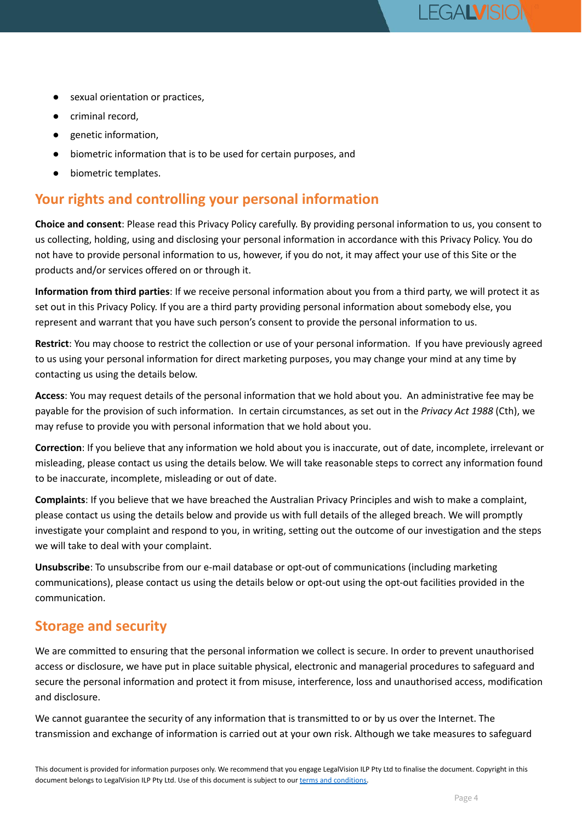- sexual orientation or practices,
- criminal record.
- genetic information,
- biometric information that is to be used for certain purposes, and
- biometric templates.

### **Your rights and controlling your personal information**

**Choice and consent**: Please read this Privacy Policy carefully. By providing personal information to us, you consent to us collecting, holding, using and disclosing your personal information in accordance with this Privacy Policy. You do not have to provide personal information to us, however, if you do not, it may affect your use of this Site or the products and/or services offered on or through it.

**Information from third parties**: If we receive personal information about you from a third party, we will protect it as set out in this Privacy Policy. If you are a third party providing personal information about somebody else, you represent and warrant that you have such person's consent to provide the personal information to us.

**Restrict**: You may choose to restrict the collection or use of your personal information. If you have previously agreed to us using your personal information for direct marketing purposes, you may change your mind at any time by contacting us using the details below.

**Access**: You may request details of the personal information that we hold about you. An administrative fee may be payable for the provision of such information. In certain circumstances, as set out in the *Privacy Act 1988* (Cth), we may refuse to provide you with personal information that we hold about you.

**Correction**: If you believe that any information we hold about you is inaccurate, out of date, incomplete, irrelevant or misleading, please contact us using the details below. We will take reasonable steps to correct any information found to be inaccurate, incomplete, misleading or out of date.

**Complaints**: If you believe that we have breached the Australian Privacy Principles and wish to make a complaint, please contact us using the details below and provide us with full details of the alleged breach. We will promptly investigate your complaint and respond to you, in writing, setting out the outcome of our investigation and the steps we will take to deal with your complaint.

**Unsubscribe**: To unsubscribe from our e-mail database or opt-out of communications (including marketing communications), please contact us using the details below or opt-out using the opt-out facilities provided in the communication.

### **Storage and security**

We are committed to ensuring that the personal information we collect is secure. In order to prevent unauthorised access or disclosure, we have put in place suitable physical, electronic and managerial procedures to safeguard and secure the personal information and protect it from misuse, interference, loss and unauthorised access, modification and disclosure.

We cannot guarantee the security of any information that is transmitted to or by us over the Internet. The transmission and exchange of information is carried out at your own risk. Although we take measures to safeguard